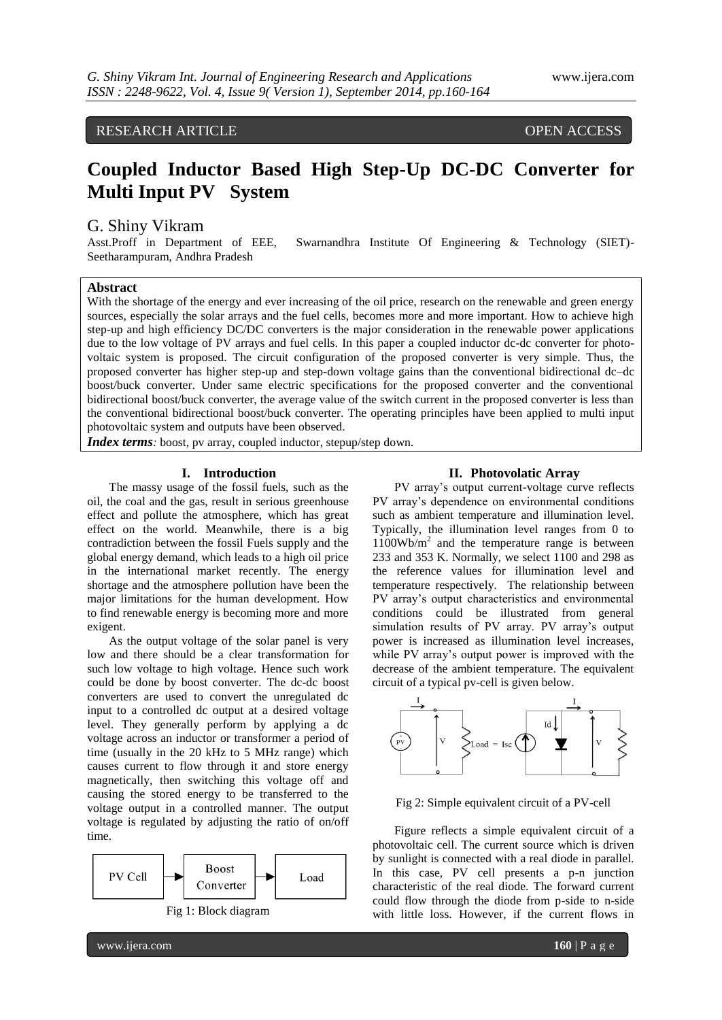RESEARCH ARTICLE OPEN ACCESS

# **Coupled Inductor Based High Step-Up DC-DC Converter for Multi Input PV System**

# G. Shiny Vikram

Asst.Proff in Department of EEE, Swarnandhra Institute Of Engineering & Technology (SIET)- Seetharampuram, Andhra Pradesh

# **Abstract**

With the shortage of the energy and ever increasing of the oil price, research on the renewable and green energy sources, especially the solar arrays and the fuel cells, becomes more and more important. How to achieve high step-up and high efficiency DC/DC converters is the major consideration in the renewable power applications due to the low voltage of PV arrays and fuel cells. In this paper a coupled inductor dc-dc converter for photovoltaic system is proposed. The circuit configuration of the proposed converter is very simple. Thus, the proposed converter has higher step-up and step-down voltage gains than the conventional bidirectional dc–dc boost/buck converter. Under same electric specifications for the proposed converter and the conventional bidirectional boost/buck converter, the average value of the switch current in the proposed converter is less than the conventional bidirectional boost/buck converter. The operating principles have been applied to multi input photovoltaic system and outputs have been observed.

*Index terms*: boost, pv array, coupled inductor, stepup/step down.

#### **I. Introduction**

The massy usage of the fossil fuels, such as the oil, the coal and the gas, result in serious greenhouse effect and pollute the atmosphere, which has great effect on the world. Meanwhile, there is a big contradiction between the fossil Fuels supply and the global energy demand, which leads to a high oil price in the international market recently. The energy shortage and the atmosphere pollution have been the major limitations for the human development. How to find renewable energy is becoming more and more exigent.

As the output voltage of the solar panel is very low and there should be a clear transformation for such low voltage to high voltage. Hence such work could be done by boost converter. The dc-dc boost converters are used to convert the unregulated dc input to a controlled dc output at a desired voltage level. They generally perform by applying a dc voltage across an inductor or transformer a period of time (usually in the 20 kHz to 5 MHz range) which causes current to flow through it and store energy magnetically, then switching this voltage off and causing the stored energy to be transferred to the voltage output in a controlled manner. The output voltage is regulated by adjusting the ratio of on/off time.



#### **II. Photovolatic Array**

PV array's output current-voltage curve reflects PV array's dependence on environmental conditions such as ambient temperature and illumination level. Typically, the illumination level ranges from 0 to 1100Wb/m<sup>2</sup> and the temperature range is between 233 and 353 K. Normally, we select 1100 and 298 as the reference values for illumination level and temperature respectively. The relationship between PV array's output characteristics and environmental conditions could be illustrated from general simulation results of PV array. PV array's output power is increased as illumination level increases, while PV array's output power is improved with the decrease of the ambient temperature. The equivalent circuit of a typical pv-cell is given below.



Fig 2: Simple equivalent circuit of a PV-cell

Figure reflects a simple equivalent circuit of a photovoltaic cell. The current source which is driven by sunlight is connected with a real diode in parallel. In this case, PV cell presents a p-n junction characteristic of the real diode. The forward current could flow through the diode from p-side to n-side with little loss. However, if the current flows in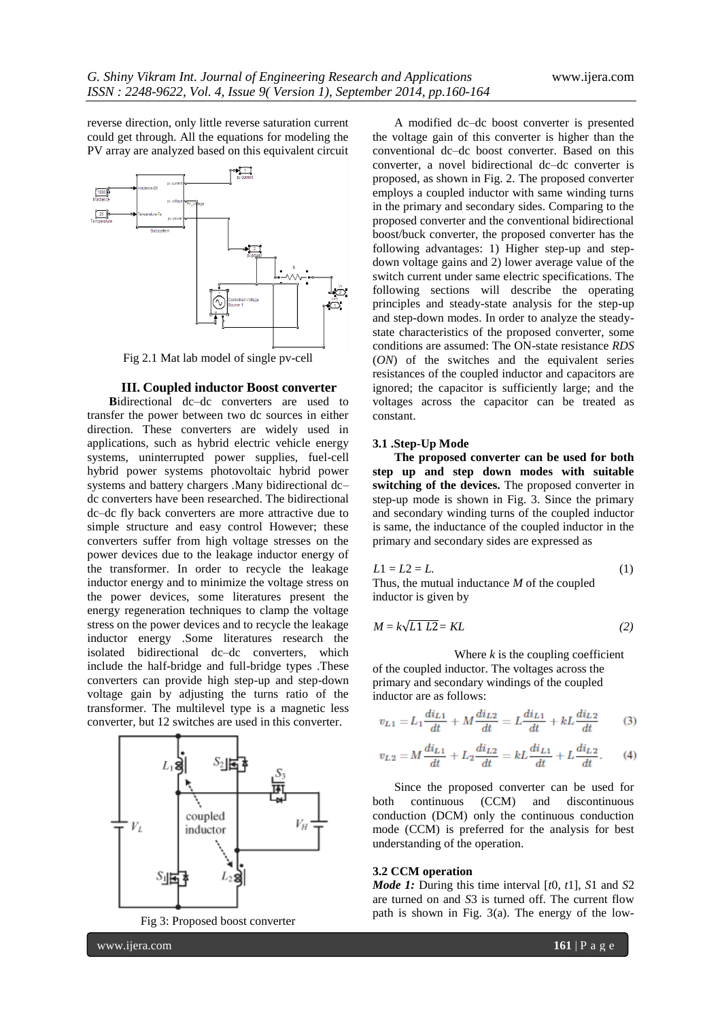reverse direction, only little reverse saturation current could get through. All the equations for modeling the PV array are analyzed based on this equivalent circuit



Fig 2.1 Mat lab model of single pv-cell

#### **III. Coupled inductor Boost converter**

**B**idirectional dc–dc converters are used to transfer the power between two dc sources in either direction. These converters are widely used in applications, such as hybrid electric vehicle energy systems, uninterrupted power supplies, fuel-cell hybrid power systems photovoltaic hybrid power systems and battery chargers .Many bidirectional dc– dc converters have been researched. The bidirectional dc–dc fly back converters are more attractive due to simple structure and easy control However; these converters suffer from high voltage stresses on the power devices due to the leakage inductor energy of the transformer. In order to recycle the leakage inductor energy and to minimize the voltage stress on the power devices, some literatures present the energy regeneration techniques to clamp the voltage stress on the power devices and to recycle the leakage inductor energy .Some literatures research the isolated bidirectional dc–dc converters, which include the half-bridge and full-bridge types .These converters can provide high step-up and step-down voltage gain by adjusting the turns ratio of the transformer. The multilevel type is a magnetic less converter, but 12 switches are used in this converter.





A modified dc–dc boost converter is presented the voltage gain of this converter is higher than the conventional dc–dc boost converter. Based on this converter, a novel bidirectional dc–dc converter is proposed, as shown in Fig. 2. The proposed converter employs a coupled inductor with same winding turns in the primary and secondary sides. Comparing to the proposed converter and the conventional bidirectional boost/buck converter, the proposed converter has the following advantages: 1) Higher step-up and stepdown voltage gains and 2) lower average value of the switch current under same electric specifications. The following sections will describe the operating principles and steady-state analysis for the step-up and step-down modes. In order to analyze the steadystate characteristics of the proposed converter, some conditions are assumed: The ON-state resistance *RDS* (*ON*) of the switches and the equivalent series resistances of the coupled inductor and capacitors are ignored; the capacitor is sufficiently large; and the voltages across the capacitor can be treated as constant.

## **3.1 .Step-Up Mode**

**The proposed converter can be used for both step up and step down modes with suitable switching of the devices.** The proposed converter in step-up mode is shown in Fig. 3. Since the primary and secondary winding turns of the coupled inductor is same, the inductance of the coupled inductor in the primary and secondary sides are expressed as

$$
L1 = L2 = L.\tag{1}
$$

Thus, the mutual inductance *M* of the coupled inductor is given by

$$
M = k\sqrt{L1 L2} = KL \tag{2}
$$

Where  $k$  is the coupling coefficient of the coupled inductor. The voltages across the primary and secondary windings of the coupled inductor are as follows:

$$
v_{L1} = L_1 \frac{di_{L1}}{dt} + M \frac{di_{L2}}{dt} = L \frac{di_{L1}}{dt} + kL \frac{di_{L2}}{dt}
$$
 (3)

$$
v_{L2} = M\frac{di_{L1}}{dt} + L_2 \frac{di_{L2}}{dt} = kL\frac{di_{L1}}{dt} + L\frac{di_{L2}}{dt}.
$$
 (4)

Since the proposed converter can be used for both continuous (CCM) and discontinuous conduction (DCM) only the continuous conduction mode (CCM) is preferred for the analysis for best understanding of the operation.

### **3.2 CCM operation**

*Mode 1:* During this time interval [*t*0*, t*1], *S*1 and *S*2 are turned on and *S*3 is turned off. The current flow path is shown in Fig. 3(a). The energy of the low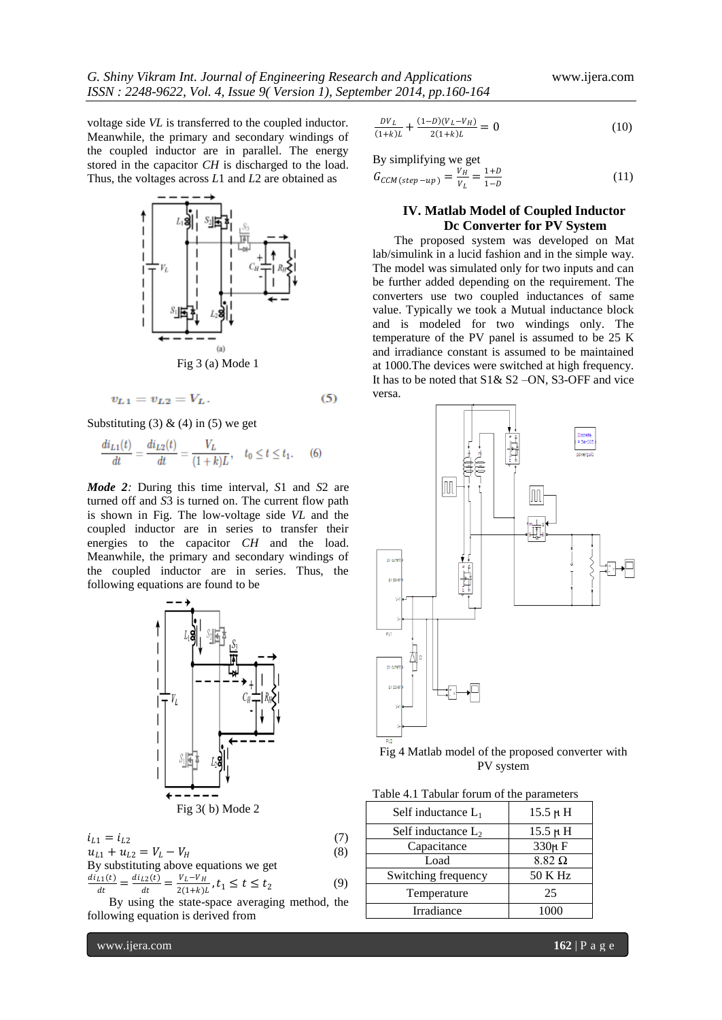voltage side *VL* is transferred to the coupled inductor. Meanwhile, the primary and secondary windings of the coupled inductor are in parallel. The energy stored in the capacitor *CH* is discharged to the load. Thus, the voltages across *L*1 and *L*2 are obtained as



$$
v_{L1} = v_{L2} = V_L. \t\t(5)
$$

Substituting (3)  $\&$  (4) in (5) we get

$$
\frac{di_{L1}(t)}{dt} = \frac{di_{L2}(t)}{dt} = \frac{V_L}{(1+k)L}, \quad t_0 \le t \le t_1. \tag{6}
$$

*Mode 2:* During this time interval, *S*1 and *S*2 are turned off and *S*3 is turned on. The current flow path is shown in Fig. The low-voltage side *VL* and the coupled inductor are in series to transfer their energies to the capacitor *CH* and the load. Meanwhile, the primary and secondary windings of the coupled inductor are in series. Thus, the following equations are found to be



$$
i_{L1} = i_{L2}
$$
\n(7)  
\n
$$
u_{L1} + u_{L2} = V_L - V_H
$$
\n(8)  
\nBy substituting above equations we get  
\n
$$
di_{L1}(t) = di_{L2}(t) = V_L - V_H
$$
\n(9)

$$
\frac{u_{L1}(t)}{dt} = \frac{u_{L2}(t)}{dt} = \frac{v_L - v_H}{2(1+k)L}, t_1 \le t \le t_2
$$
 (9)  
By using the state-space averaging method, the

following equation is derived from

$$
\frac{DV_L}{(1+k)L} + \frac{(1-D)(V_L - V_H)}{2(1+k)L} = 0
$$
\n(10)

By simplifying we get

$$
G_{CCM (step-up)} = \frac{v_H}{v_L} = \frac{1+D}{1-D}
$$
 (11)

# **IV. Matlab Model of Coupled Inductor Dc Converter for PV System**

The proposed system was developed on Mat lab/simulink in a lucid fashion and in the simple way. The model was simulated only for two inputs and can be further added depending on the requirement. The converters use two coupled inductances of same value. Typically we took a Mutual inductance block and is modeled for two windings only. The temperature of the PV panel is assumed to be 25 K and irradiance constant is assumed to be maintained at 1000.The devices were switched at high frequency. It has to be noted that S1& S2 –ON, S3-OFF and vice versa.



Fig 4 Matlab model of the proposed converter with PV system

| Self inductance $L_1$ | 15.5 µ H      |
|-----------------------|---------------|
| Self inductance $L_2$ | $15.5 \mu H$  |
| Capacitance           | 330μF         |
| Load                  | $8.82 \Omega$ |
| Switching frequency   | 50 K Hz       |
| Temperature           | 25            |
| Irradiance            |               |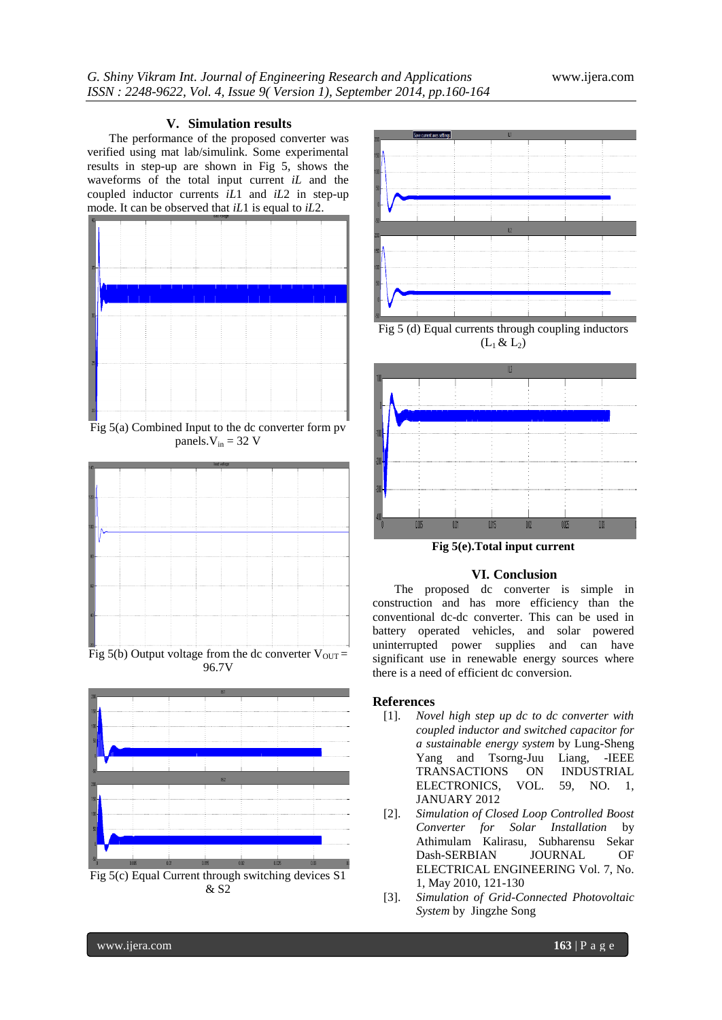## **V. Simulation results**

The performance of the proposed converter was verified using mat lab/simulink. Some experimental results in step-up are shown in Fig 5, shows the waveforms of the total input current *iL* and the coupled inductor currents *iL*1 and *iL*2 in step-up mode. It can be observed that *iL*1 is equal to *iL*2.



Fig 5(a) Combined Input to the dc converter form pv panels. $V_{in}$  = 32 V



96.7V





Fig 5 (d) Equal currents through coupling inductors  $(L_1 \& L_2)$ 



**Fig 5(e).Total input current**

## **VI. Conclusion**

The proposed dc converter is simple in construction and has more efficiency than the conventional dc-dc converter. This can be used in battery operated vehicles, and solar powered uninterrupted power supplies and can have significant use in renewable energy sources where there is a need of efficient dc conversion.

# **References**

- [1]. *Novel high step up dc to dc converter with coupled inductor and switched capacitor for a sustainable energy system* by Lung-Sheng Yang and Tsorng-Juu Liang, -IEEE TRANSACTIONS ON INDUSTRIAL ELECTRONICS, VOL. 59, NO. 1, JANUARY 2012
- [2]. *Simulation of Closed Loop Controlled Boost Converter for Solar Installation* by Athimulam Kalirasu, Subharensu Sekar Dash-SERBIAN JOURNAL OF ELECTRICAL ENGINEERING Vol. 7, No. 1, May 2010, 121-130
- [3]. *Simulation of Grid-Connected Photovoltaic System* by Jingzhe Song